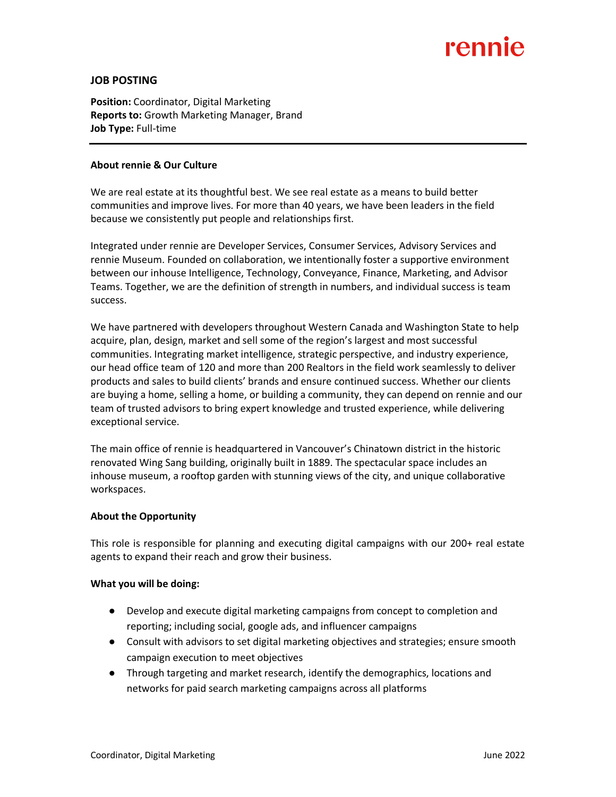# rennie

## **JOB POSTING**

**Position:** Coordinator, Digital Marketing **Reports to:** Growth Marketing Manager, Brand **Job Type:** Full-time

#### **About rennie & Our Culture**

We are real estate at its thoughtful best. We see real estate as a means to build better communities and improve lives. For more than 40 years, we have been leaders in the field because we consistently put people and relationships first.

Integrated under rennie are Developer Services, Consumer Services, Advisory Services and rennie Museum. Founded on collaboration, we intentionally foster a supportive environment between our inhouse Intelligence, Technology, Conveyance, Finance, Marketing, and Advisor Teams. Together, we are the definition of strength in numbers, and individual success is team success.

We have partnered with developers throughout Western Canada and Washington State to help acquire, plan, design, market and sell some of the region's largest and most successful communities. Integrating market intelligence, strategic perspective, and industry experience, our head office team of 120 and more than 200 Realtors in the field work seamlessly to deliver products and sales to build clients' brands and ensure continued success. Whether our clients are buying a home, selling a home, or building a community, they can depend on rennie and our team of trusted advisors to bring expert knowledge and trusted experience, while delivering exceptional service.

The main office of rennie is headquartered in Vancouver's Chinatown district in the historic renovated Wing Sang building, originally built in 1889. The spectacular space includes an inhouse museum, a rooftop garden with stunning views of the city, and unique collaborative workspaces.

#### **About the Opportunity**

This role is responsible for planning and executing digital campaigns with our 200+ real estate agents to expand their reach and grow their business.

#### **What you will be doing:**

- Develop and execute digital marketing campaigns from concept to completion and reporting; including social, google ads, and influencer campaigns
- Consult with advisors to set digital marketing objectives and strategies; ensure smooth campaign execution to meet objectives
- Through targeting and market research, identify the demographics, locations and networks for paid search marketing campaigns across all platforms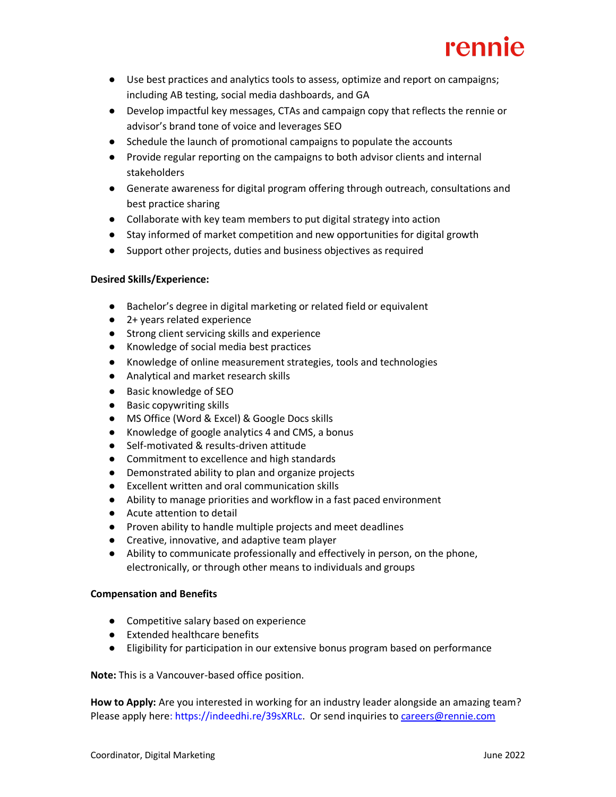# rennie

- Use best practices and analytics tools to assess, optimize and report on campaigns; including AB testing, social media dashboards, and GA
- Develop impactful key messages, CTAs and campaign copy that reflects the rennie or advisor's brand tone of voice and leverages SEO
- Schedule the launch of promotional campaigns to populate the accounts
- Provide regular reporting on the campaigns to both advisor clients and internal stakeholders
- Generate awareness for digital program offering through outreach, consultations and best practice sharing
- Collaborate with key team members to put digital strategy into action
- Stay informed of market competition and new opportunities for digital growth
- Support other projects, duties and business objectives as required

## **Desired Skills/Experience:**

- Bachelor's degree in digital marketing or related field or equivalent
- 2+ years related experience
- Strong client servicing skills and experience
- Knowledge of social media best practices
- Knowledge of online measurement strategies, tools and technologies
- Analytical and market research skills
- Basic knowledge of SEO
- Basic copywriting skills
- MS Office (Word & Excel) & Google Docs skills
- Knowledge of google analytics 4 and CMS, a bonus
- Self-motivated & results-driven attitude
- Commitment to excellence and high standards
- Demonstrated ability to plan and organize projects
- Excellent written and oral communication skills
- Ability to manage priorities and workflow in a fast paced environment
- Acute attention to detail
- Proven ability to handle multiple projects and meet deadlines
- Creative, innovative, and adaptive team player
- Ability to communicate professionally and effectively in person, on the phone, electronically, or through other means to individuals and groups

### **Compensation and Benefits**

- Competitive salary based on experience
- Extended healthcare benefits
- Eligibility for participation in our extensive bonus program based on performance

**Note:** This is a Vancouver-based office position.

**How to Apply:** Are you interested in working for an industry leader alongside an amazing team? Please apply here: https://indeedhi.re/39sXRLc. Or send inquiries t[o careers@rennie.com](mailto:careers@rennie.com)